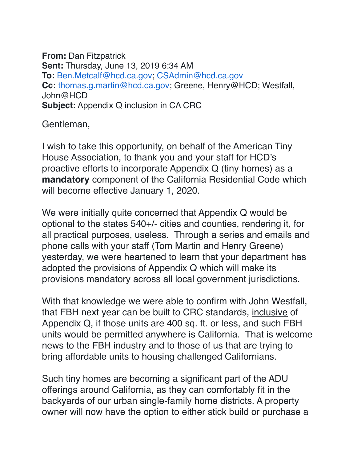**From:** Dan Fitzpatrick **Sent:** Thursday, June 13, 2019 6:34 AM **To:** [Ben.Metcalf@hcd.ca.gov](mailto:Ben.Metcalf@hcd.ca.gov); [CSAdmin@hcd.ca.gov](mailto:CSAdmin@hcd.ca.gov) **Cc:** [thomas.g.martin@hcd.ca.gov;](mailto:thomas.g.martin@hcd.ca.gov) Greene, Henry@HCD; Westfall, John@HCD **Subject:** Appendix Q inclusion in CA CRC

Gentleman,

I wish to take this opportunity, on behalf of the American Tiny House Association, to thank you and your staff for HCD's proactive efforts to incorporate Appendix Q (tiny homes) as a **mandatory** component of the California Residential Code which will become effective January 1, 2020.

We were initially quite concerned that Appendix Q would be optional to the states 540+/- cities and counties, rendering it, for all practical purposes, useless. Through a series and emails and phone calls with your staff (Tom Martin and Henry Greene) yesterday, we were heartened to learn that your department has adopted the provisions of Appendix Q which will make its provisions mandatory across all local government jurisdictions.

With that knowledge we were able to confirm with John Westfall, that FBH next year can be built to CRC standards, inclusive of Appendix Q, if those units are 400 sq. ft. or less, and such FBH units would be permitted anywhere is California. That is welcome news to the FBH industry and to those of us that are trying to bring affordable units to housing challenged Californians.

Such tiny homes are becoming a significant part of the ADU offerings around California, as they can comfortably fit in the backyards of our urban single-family home districts. A property owner will now have the option to either stick build or purchase a